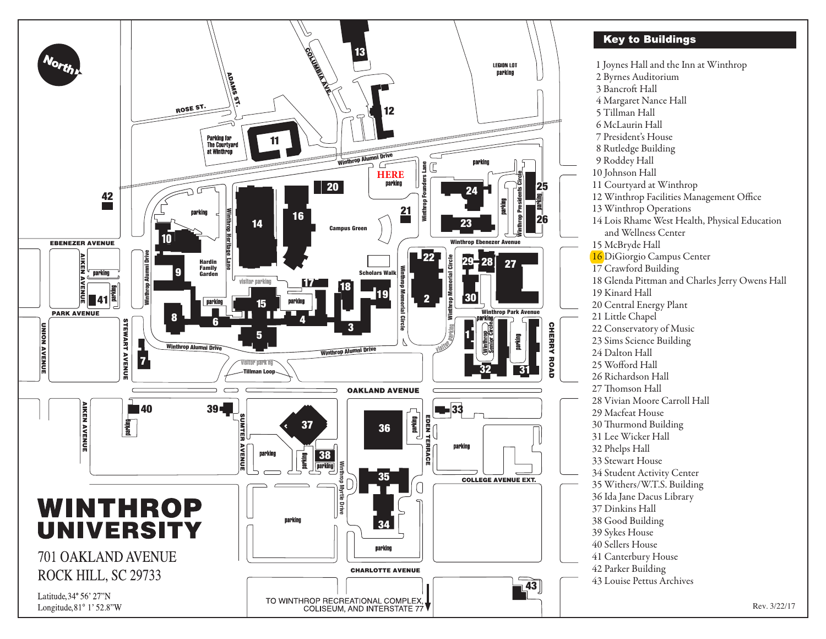

## **Key to Buildings**

 1 Joynes Hall and the Inn at Winthrop 2 Byrnes Auditorium 3 Bancroft Hall 4 Margaret Nance Hall 5 Tillman Hall 6 McLaurin Hall 7 President's House 8 Rutledge Building 9 Roddey Hall 10 Johnson Hall 11 Courtyard at Winthrop 12 Winthrop Facilities Management Office 13 Winthrop Operations 14 Lois Rhame West Health, Physical Education and Wellness Center 15 McBryde Hall 16 DiGiorgio Campus Center 17 Crawford Building 18 Glenda Pittman and Charles Jerry Owens Hall 19 Kinard Hall 20 Central Energy Plant 21 Little Chapel 22 Conservatory of Music 23 Sims Science Building 24 Dalton Hall 25 Wofford Hall 26 Richardson Hall 27 Thomson Hall 28 Vivian Moore Carroll Hall 29 Macfeat House 30 Thurmond Building 31 Lee Wicker Hall 32 Phelps Hall 33 Stewart House 34 Student Activity Center 35 Withers/W.T.S. Building 36 Ida Jane Dacus Library 37 Dinkins Hall 38 Good Building 39 Sykes House 40 Sellers House 41 Canterbury House 42 Parker Building 43 Louise Pettus Archives